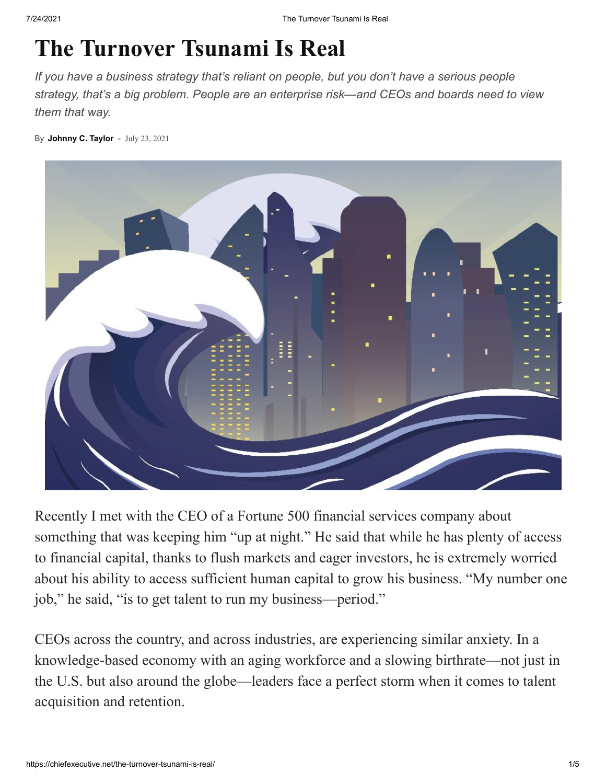# **The Turnover Tsunami Is Real**

*If you have a business strategy that's reliant on people, but you don't have a serious people strategy, that's a big problem. People are an enterprise risk—and CEOs and boards need to view them that way.*

By **[Johnny C. Taylor](https://chiefexecutive.net/author/johnctaylor1/)** - July 23, 2021



Recently I met with the CEO of a Fortune 500 financial services company about something that was keeping him "up at night." He said that while he has plenty of access to financial capital, thanks to flush markets and eager investors, he is extremely worried about his ability to access sufficient human capital to grow his business. "My number one job," he said, "is to get talent to run my business—period."

CEOs across the country, and across industries, are experiencing similar anxiety. In a knowledge-based economy with an aging workforce and a slowing birthrate—not just in the U.S. but also around the globe—leaders face a perfect storm when it comes to talent acquisition and retention.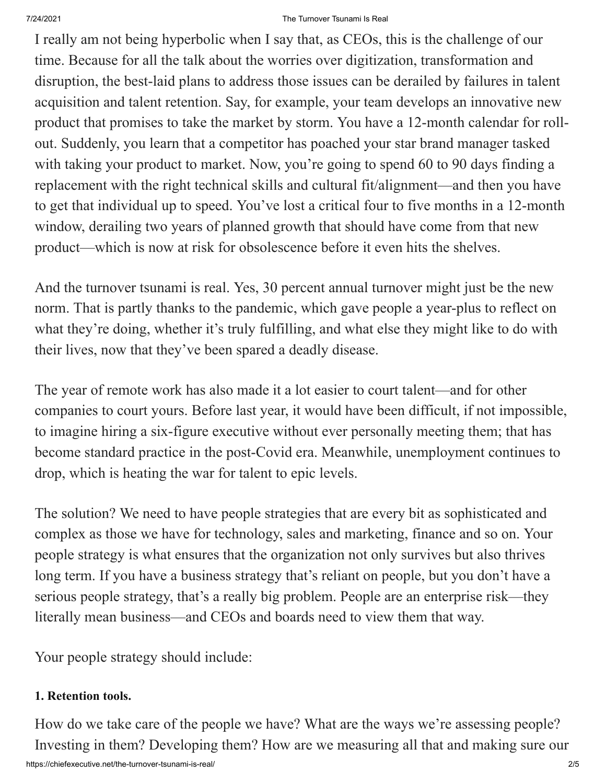### 7/24/2021 The Turnover Tsunami Is Real

I really am not being hyperbolic when I say that, as CEOs, this is the challenge of our time. Because for all the talk about the worries over digitization, transformation and disruption, the best-laid plans to address those issues can be derailed by failures in talent acquisition and talent retention. Say, for example, your team develops an innovative new product that promises to take the market by storm. You have a 12-month calendar for rollout. Suddenly, you learn that a competitor has poached your star brand manager tasked with taking your product to market. Now, you're going to spend 60 to 90 days finding a replacement with the right technical skills and cultural fit/alignment—and then you have to get that individual up to speed. You've lost a critical four to five months in a 12-month window, derailing two years of planned growth that should have come from that new product—which is now at risk for obsolescence before it even hits the shelves.

And the turnover tsunami is real. Yes, 30 percent annual turnover might just be the new norm. That is partly thanks to the pandemic, which gave people a year-plus to reflect on what they're doing, whether it's truly fulfilling, and what else they might like to do with their lives, now that they've been spared a deadly disease.

The year of remote work has also made it a lot easier to court talent—and for other companies to court yours. Before last year, it would have been difficult, if not impossible, to imagine hiring a six-figure executive without ever personally meeting them; that has become standard practice in the post-Covid era. Meanwhile, unemployment continues to drop, which is heating the war for talent to epic levels.

The solution? We need to have people strategies that are every bit as sophisticated and complex as those we have for technology, sales and marketing, finance and so on. Your people strategy is what ensures that the organization not only survives but also thrives long term. If you have a business strategy that's reliant on people, but you don't have a serious people strategy, that's a really big problem. People are an enterprise risk—they literally mean business—and CEOs and boards need to view them that way.

Your people strategy should include:

# **1. Retention tools.**

How do we take care of the people we have? What are the ways we're assessing people? Investing in them? Developing them? How are we measuring all that and making sure our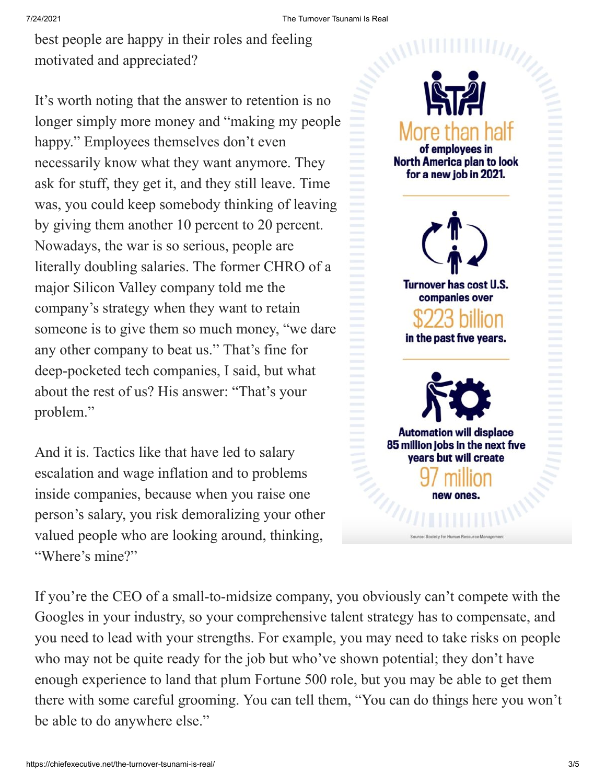best people are happy in their roles and feeling motivated and appreciated?

It's worth noting that the answer to retention is no longer simply more money and "making my people happy." Employees themselves don't even necessarily know what they want anymore. They ask for stuff, they get it, and they still leave. Time was, you could keep somebody thinking of leaving by giving them another 10 percent to 20 percent. Nowadays, the war is so serious, people are literally doubling salaries. The former CHRO of a major Silicon Valley company told me the company's strategy when they want to retain someone is to give them so much money, "we dare any other company to beat us." That's fine for deep-pocketed tech companies, I said, but what about the rest of us? His answer: "That's your problem."

And it is. Tactics like that have led to salary escalation and wage inflation and to problems inside companies, because when you raise one person's salary, you risk demoralizing your other valued people who are looking around, thinking, "Where's mine?"



If you're the CEO of a small-to-midsize company, you obviously can't compete with the Googles in your industry, so your comprehensive talent strategy has to compensate, and you need to lead with your strengths. For example, you may need to take risks on people who may not be quite ready for the job but who've shown potential; they don't have enough experience to land that plum Fortune 500 role, but you may be able to get them there with some careful grooming. You can tell them, "You can do things here you won't be able to do anywhere else."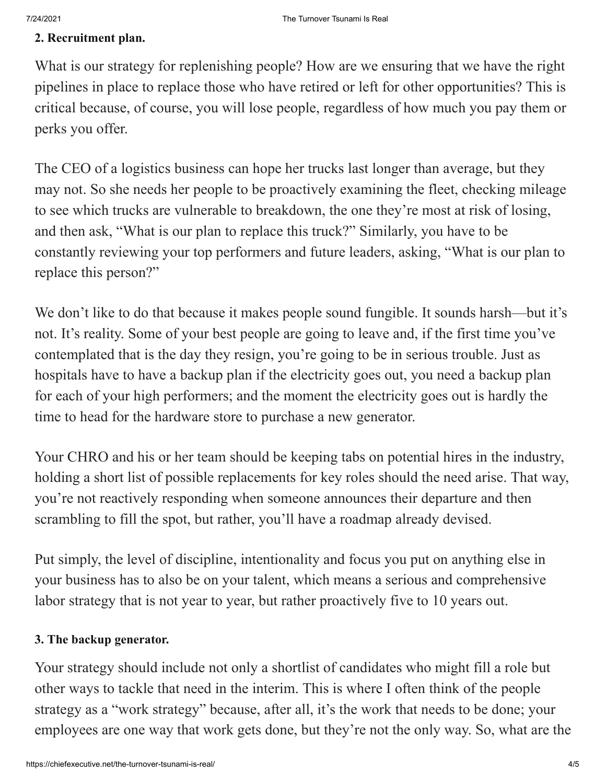### **2. Recruitment plan.**

What is our strategy for replenishing people? How are we ensuring that we have the right pipelines in place to replace those who have retired or left for other opportunities? This is critical because, of course, you will lose people, regardless of how much you pay them or perks you offer.

The CEO of a logistics business can hope her trucks last longer than average, but they may not. So she needs her people to be proactively examining the fleet, checking mileage to see which trucks are vulnerable to breakdown, the one they're most at risk of losing, and then ask, "What is our plan to replace this truck?" Similarly, you have to be constantly reviewing your top performers and future leaders, asking, "What is our plan to replace this person?"

We don't like to do that because it makes people sound fungible. It sounds harsh—but it's not. It's reality. Some of your best people are going to leave and, if the first time you've contemplated that is the day they resign, you're going to be in serious trouble. Just as hospitals have to have a backup plan if the electricity goes out, you need a backup plan for each of your high performers; and the moment the electricity goes out is hardly the time to head for the hardware store to purchase a new generator.

Your CHRO and his or her team should be keeping tabs on potential hires in the industry, holding a short list of possible replacements for key roles should the need arise. That way, you're not reactively responding when someone announces their departure and then scrambling to fill the spot, but rather, you'll have a roadmap already devised.

Put simply, the level of discipline, intentionality and focus you put on anything else in your business has to also be on your talent, which means a serious and comprehensive labor strategy that is not year to year, but rather proactively five to 10 years out.

# **3. The backup generator.**

Your strategy should include not only a shortlist of candidates who might fill a role but other ways to tackle that need in the interim. This is where I often think of the people strategy as a "work strategy" because, after all, it's the work that needs to be done; your employees are one way that work gets done, but they're not the only way. So, what are the